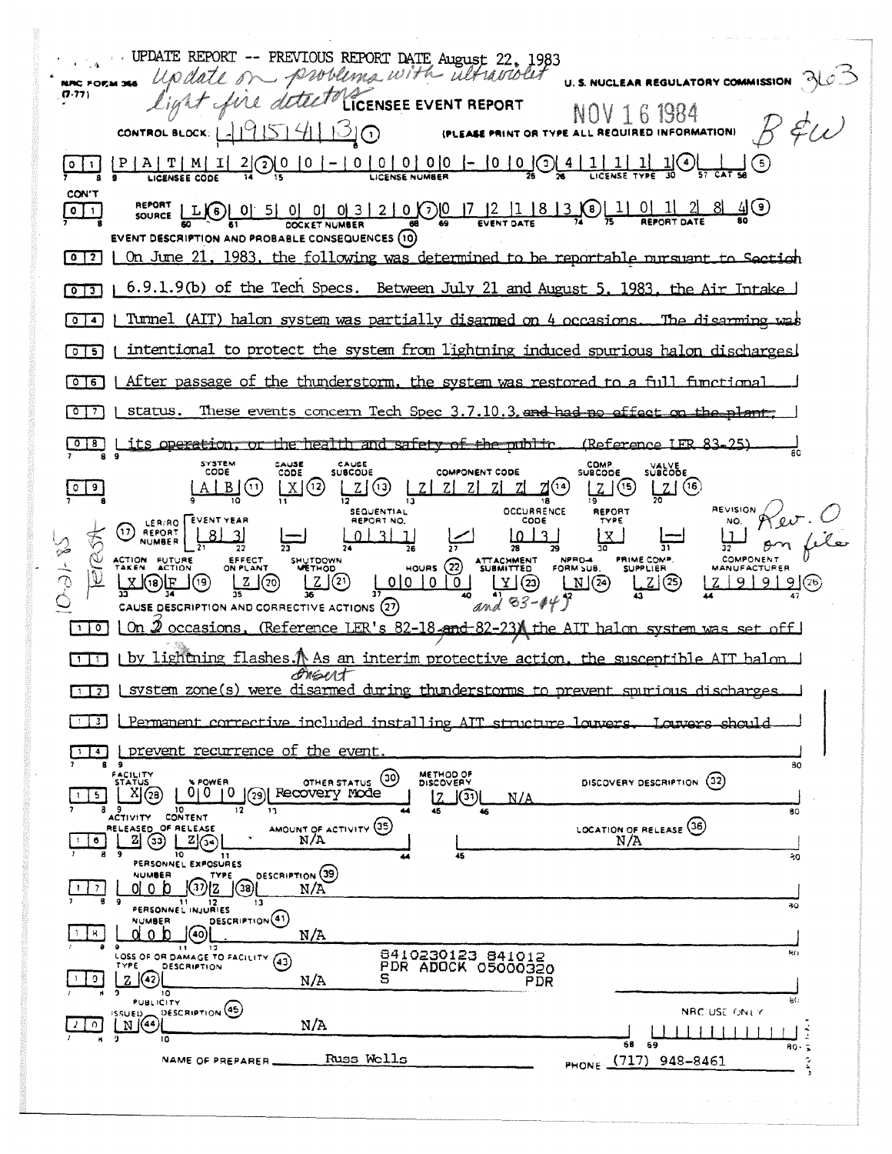UPDATE REPORT -- PREVIOUS REPORT DATE August 22, 1983 - problems with altraviolit U. S. NUCLEAR REGULATORY COMMISSION NRC FORM 366 LICENSEE EVENT REPORT  $(7.77)$ s dotte NOV 161984 CONTROL BLOCK: L19151411310 (PLEASE PRINT OR TYPE ALL REQUIRED INFORMATION)  $\frac{P | A | T | M | I | 2}{{\rm log} (2) [2] [0] [0] - [0] [0] [0] - [0] [0] }$  $\underline{\mathbb{1}}\mathbb{G}$  $0$  | 1 | LICENSEE CODE LICENSE NUMBER CON'T LIO 0 5 0 0 0 3 2 0 0 0 7 2 1 8 3 0 1 0 1 0 1  $\sqrt{2}$ <u>৪ খি</u> (a)  $\boxed{0}$ SOURCE EVENT DESCRIPTION AND PROBABLE CONSEQUENCES (10) 0 2 0 0 June 21, 1983, the following was determined to be reportable nursuant to Section [0][3] | 6.9.1.9(b) of the Tech Specs. Between July 21 and August 5, 1983. the Air Intake Turnel (AIT) halon system was partially disarmed on 4 occasions  $\sqrt{2}$ The disarming intentional to protect the system from lightning induced spurious halon discharges  $\sqrt{251}$ ाना After passage of the thunderstorm, the system was restored to a full functional These events concern Tech Spec 3.7.10.3 and had no effect on the plant.  $\sqrt{2}$ status. its operation, or the health and safety of the public (Reference IFR 83-25)  $\begin{array}{c} \hline \circ & \circ \end{array}$ COMP.<br>SUBCODE SYSTEM<br>CODE CAUSE<br>CODE CAUSE<br>SUBCOUE SUBCODE **COMPONENT CODE**  $L2(9)$  $|Z|$  (6)  $\sqrt{0}$  $A \, | \, B \, (0)$  $\lfloor x \rfloor$ (12)  $2|Z|Z|Z|Z|Z$  $Z^{(14)}$ Z (G)  $\overline{13}$ SEQUENTIAL **OCCURRENCE REVISION** REPORT LER/RO EVENT YEAR CODE NO. 17 REPORT <u>81</u> 31  $0 \mid 3 \mid 1$  $1013$  $\mathbf{x}$  $\beta$ m 28 NOTS. 32 р NPRO-4<br>FORM SUB. PRIME COMP. COMPONENT EFFECT ATTACHMENT<br>SUBMITTED ACTION FUTURE SHUTDOWN  $HOWRS (22)$ **SUPPLIER MANUFACTURER**  $|\vec{V}|$  $\underbrace{\mathsf{L}}\mathsf{L}\breve{\mathsf{I}}\mathsf{\mathsf{\mathsf{\mathsf{\mathsf{I}}}}\mathsf{\mathsf{\mathsf{I}}}}\mathsf{\mathsf{\mathsf{\mathsf{I}}}}$  $2(20)$  $\begin{array}{c} \boxed{\mathbf{Y}} & \boxed{23} \\ \boxed{1} & \boxed{2} \end{array}$  $X(3)E$  $0|0|0|0|$ <u>| 2</u>] ල  $Z[9]9]$  9  $(26)$  $\Box$  $(24)$ (19) ļ,  $\overline{35}$  $\overline{13}$ 40 and 83-049 CAUSE DESCRIPTION AND CORRECTIVE ACTIONS (27) 2 occasions. (Reference LER's 82-18-and-82-23) the AIT halon system was set off  $\Box$ 0  $\Box$ 0  $\Box$  $\Box$  i by lightning flashes. A As an interim protective action, the susceptible ATT halon orsut  $\lceil \cdot \rceil$  [3] L system zone(s) were disarmed during thunderstorms to prevent spurious discharges Permanent corrective included installing AIT structure louvers नि उन्न ।  $\frac{1}{2}$  prevent recurrence of the event 80 METHOD OF<br>DISCOVERY ACILITY OTHER STATUS (30) DISCOVERY DESCRIPTION  $(32)$ POWER  $X(28)$ 0|0 |0 |0 |3 | Recovery mode  $1\vert 5 \vert$ 17.  $\Box$ (૩૧)  $N/\Delta$ 10<br>CONTENT  $\mathbf{1}$ 80 ACTIVITY AMOUNT OF ACTIVITY (35) LOCATION OF RELEASE (36) ELEASED OF RELEASE  $\mathbb{Z}[\mathbb{G}]$  $N/A$ N/A  $\vert \cdot \vert \cdot \vert$  $\overline{10}$ PERSONNEL EXPOSURES ەھ DESCRIPTION (39) **NUMBER** TYPE  $\bigcirc$   $\bigcirc$   $\bigcirc$   $\bigcirc$   $\bigcirc$   $\bigcirc$   $\bigcirc$   $\bigcirc$   $\bigcirc$   $\bigcirc$   $\bigcirc$   $\bigcirc$   $\bigcirc$   $\bigcirc$   $\bigcirc$   $\bigcirc$   $\bigcirc$   $\bigcirc$   $\bigcirc$   $\bigcirc$   $\bigcirc$   $\bigcirc$   $\bigcirc$   $\bigcirc$   $\bigcirc$   $\bigcirc$   $\bigcirc$   $\bigcirc$   $\bigcirc$   $\bigcirc$   $\bigcirc$   $\bigcirc$   $\bigcirc$   $\bigcirc$   $\bigcirc$   $\bigcirc$   $\bigcirc$ d o b  $1 \mid 7 \mid$  $N/A$ PERSONNEL INJURIES  $\overline{30}$ DESCRIPTION<sup>(41)</sup> **NUMBER**  $\overline{(\mathcal{C})}$  $1 \times$ d o b  $N/A$ UDSS OF OR DAMAGE TO FACILITY (43) 8410230123 841012<br>PDR ADOCK 05000320  $\overline{\mathbf{z}}$ DESCRIPTION  $2 |(2)|$  $\overline{9}$  $N/A$ PDR  $\frac{1}{10}$  $_{\rm{RC}}$ DESCRIPTION (45) NRC USE ONLY  $M^{(S5UE)}$  $N/A$  $210$  $11111111$  $5^{\circ}$ 68 80.  $\cdot$  7 Russ Wolls PHONE (717) 948-8461 NAME OF PREPARER\_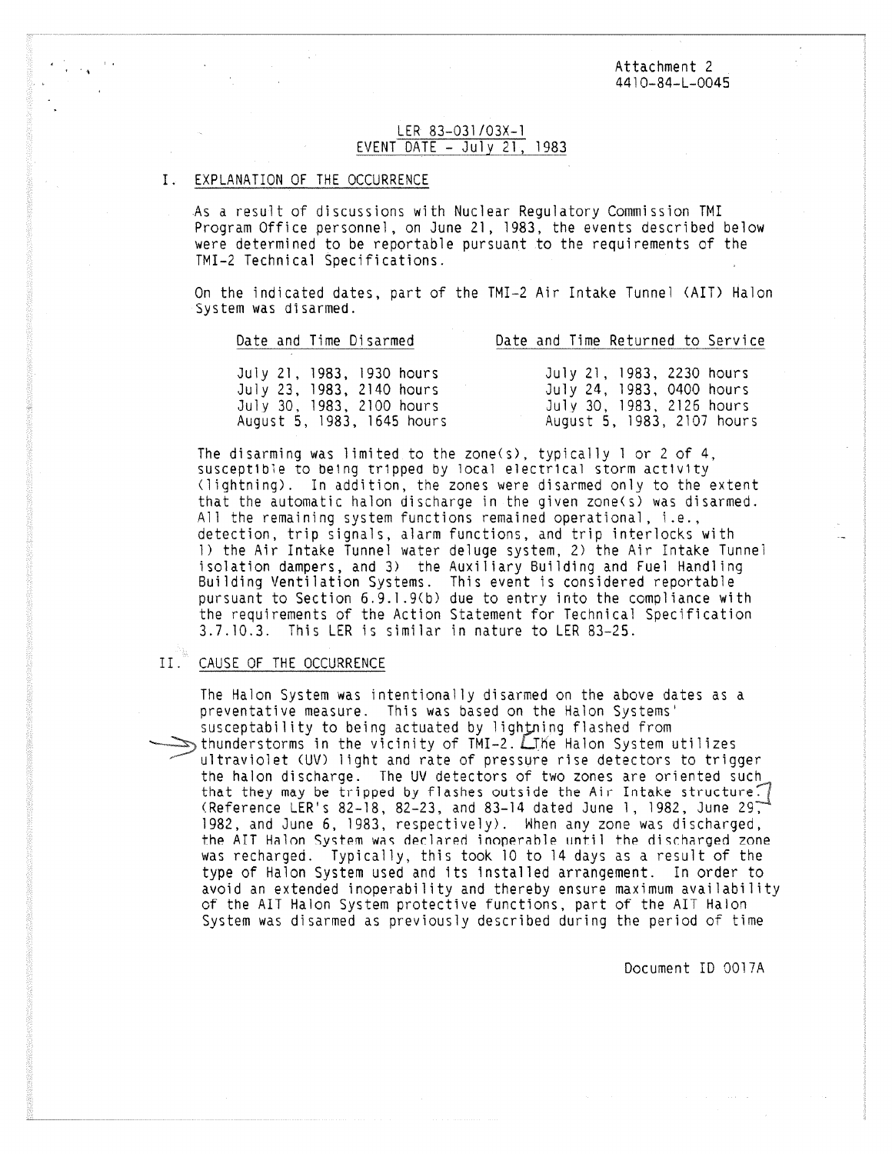Attachment 2 4410-84-L-0045

### LER 83-031/03X-1 EVENT DATE - July 21, 1983

### EXPLANATION OF THE OCCURRENCE

As a result of discussions with Nuclear Regulatory Commission TMI Program Office personnel, on June 21, 1983, the events described below were determined to be reportable pursuant to the requirements of the TMI-2 Technical Specifications.

On the indicated dates, part of the TMI-2 Air Intake Tunnel (AIT) Halon System was disarmed.

| Date and lime Disarmed     | Date and lime Returned to Service |
|----------------------------|-----------------------------------|
|                            |                                   |
| July 21, 1983, 1930 hours  | July 21, 1983, 2230 hours         |
| July 23, 1983, 2140 hours  | July 24, 1983, 0400 hours         |
| July 30, 1983, 2100 hours  | July 30, 1983, 2126 hours         |
| August 5, 1983, 1645 hours | August 5, 1983, 2107 hours        |

Date and Time Disarmed Date and Time Returned to Service

The disarming was limited to the zone(s), typically 1 or 2 of 4, susceptible to being tripped by local electrical storm activity (lightning). In addition, the zones were disarmed only to the extent that the automatic halon discharge in the given zone(s) was disarmed. All the remaining system functions remained operational, i.e., detection, trip signals, alarm functions, and trip interlocks with 1) the Air Intake Tunnel water deluge system, 2) the Air Intake Tunnel isolation dampers, and 3) the Auxiliary Building and Fuel Handling Building Ventilation Systems. This event is considered reportable pursuant to Section 6.9.1.9(b) due to entry into the compliance with the requirements of the Action Statement for Technical Specification 3.7.10.3. This LER is similar in nature to LER 83-25.

#### II. CAUSE OF THE OCCURRENCE

The Halon System was intentionally disarmed on the above dates as a preventative measure. This was based on the Halon Systems' susceptability to being actuated by lightning flashed from  $\epsilon_{\rm b}$  thunderstorms in the vicinity of TMI-2.  $L$  The Halon System utilizes ultraviolet (UV) light and rate of pressure rise detectors to trigger the halon discharge. The UV detectors of two zones are oriented such that they may be tripped by flashes outside the Air Intake structure. (Reference LER's 82-18, 82-23, and 83-14 dated June 1, 1982, June 29, 1982, and June 6, 1983, respectively). When any zone was discharged, the AIT Halon System was declared inoperable until the discharged zone was recharged. Typically, this took 10 to 14 days as a result of the type of Halon System used and its installed arrangement. In order to avoid an extended inoperability and thereby ensure maximum availability of the AIT Halon System protective functions, part of the AIT Halon

System was disarmed as previously described during the period of time

Document ID 0017A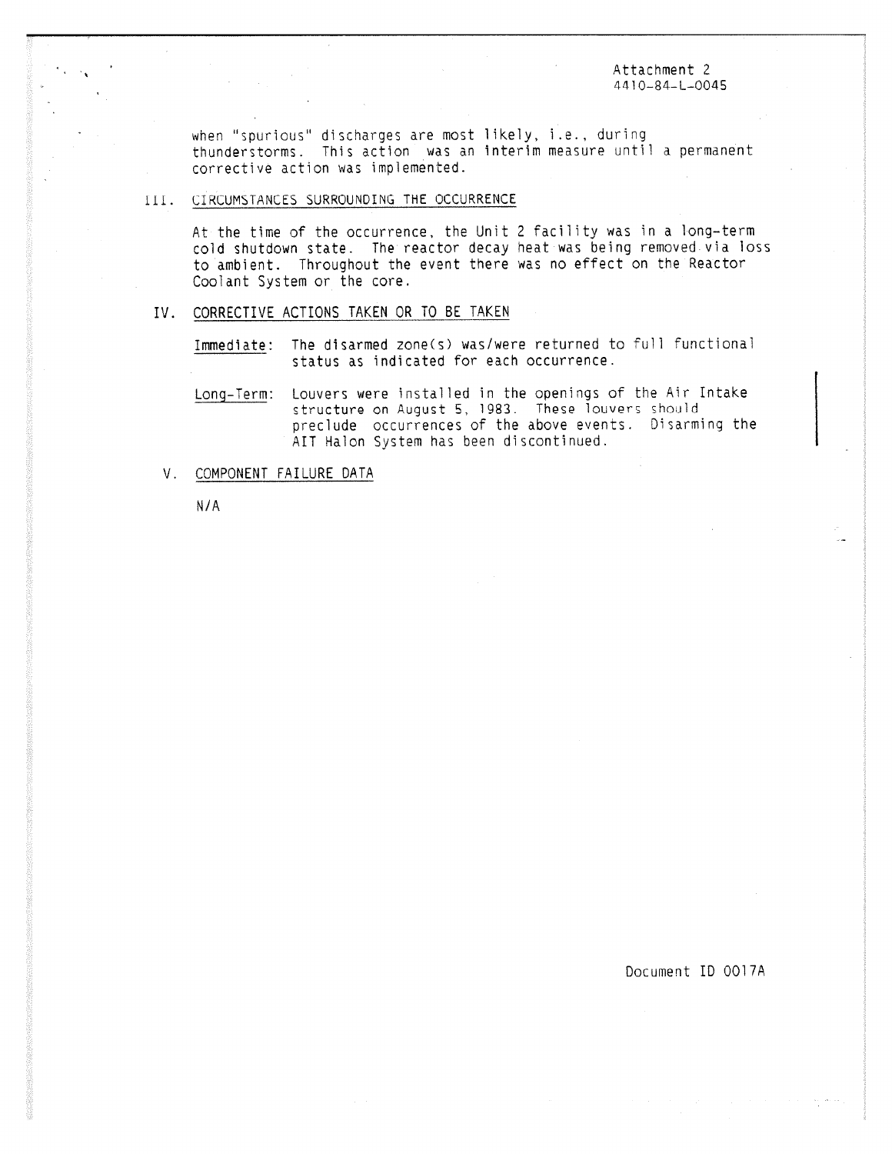Attachment 2 4410-84-L-0045

when "spurious" discharges are most likely, i.e., during thunderstorms. This action was an interim measure until a permanent corrective action was implemented.

# III. CIRCUMSTANCES SURROUNDING THE OCCURRENCE

At the time of the occurrence, the Unit 2 facility was in a long-term cold shutdown state. The reactor decay heat was being removed via loss to ambient. Throughout the event there was no effect on the Reactor Coolant System or the core.

# IV. CORRECTIVE ACTIONS TAKEN OR TO BE TAKEN

Immediate: The disarmed zone(s) was/were returned to full functional status as indicated for each occurrence.

Long-Term: Louvers were installed in the openings of the Air Intake structure on August 5, 1983. These louvers should preclude occurrences of the above events. Disarming the AIT Halon System has been discontinued.

V. COMPONENT FAILURE DATA

N/A

Document ID 0017A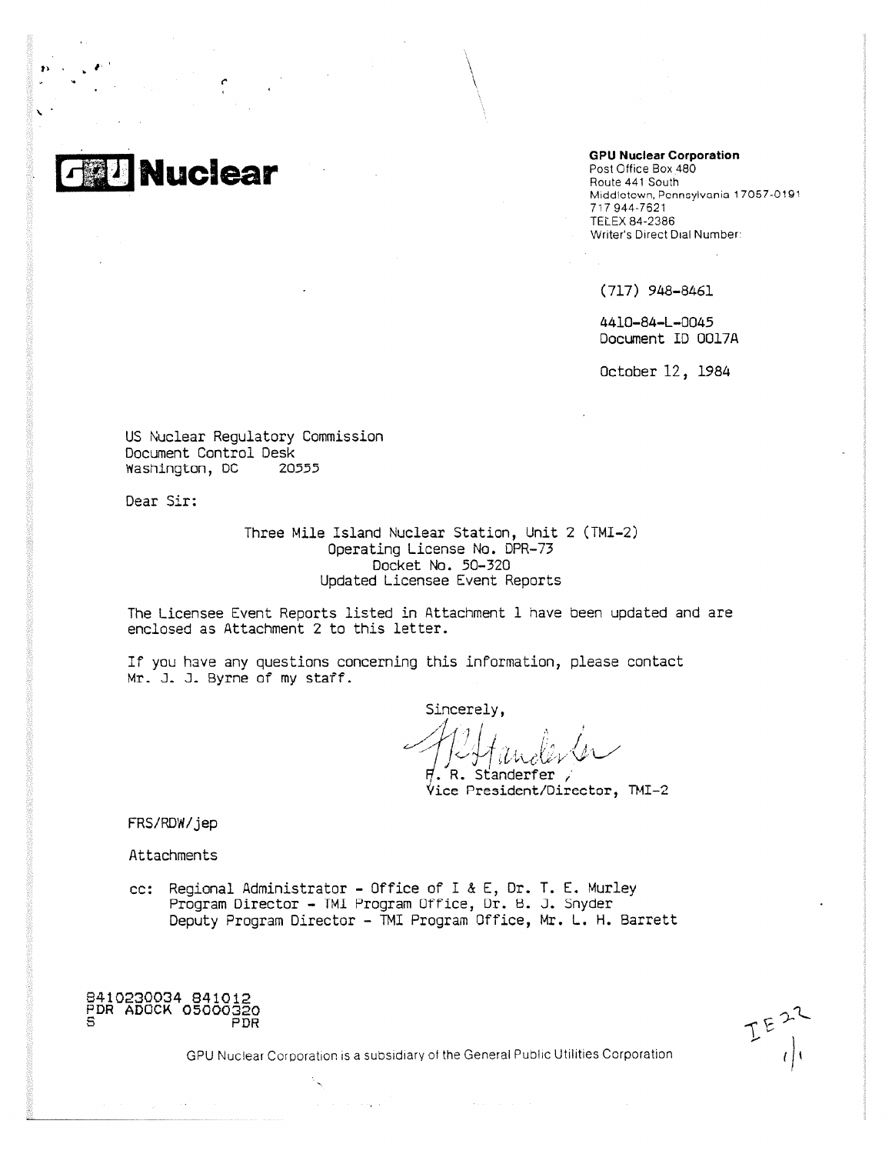

#### **GPU Nuclear Corporation**

Post Office Box 480 Route 441 South Middletown, Pennsylvania 17057-0191 717 944-7621 TELEX 84-2386 Writer's Direct Dial Number

(717) 948-8461

4410-84-L-0045 Document ID 0017A

October 12, 1984

US Nuclear Regulatory Commission Document Control Desk Washington, DC 20555

Dear Sir:

Three Mile Island Nuclear Station, Unit 2 (TMI-2) Operating License No. DPR-73 Docket No. 50-320 Updated Licensee Event Reports

The Licensee Event Reports listed in Attachment I have been updated and are enclosed as Attachment 2 to this letter.

If you have any questions concerning this information, please contact Mr. J. J. Byrne of my staff.

Sincerely,

 $H$ . R. Standerfer , 'Vice President/Director, TMI-2

FRS/RDW/jep

Attachments

- 
- cc: Regional Administrator Office of I & E, Dr. T. E. Murley Program Director - TMI Program Ofrice, Dr. 8. J. Snyder Deputy Program Director - TMI Program Office, Mr. L. H. Barrett

8410230034 841012 PDR ADOCK 05000320 PDR

GPU Nuclear Corporation is a subsidiary of the General Public Utilities Corporation

and a strategic and